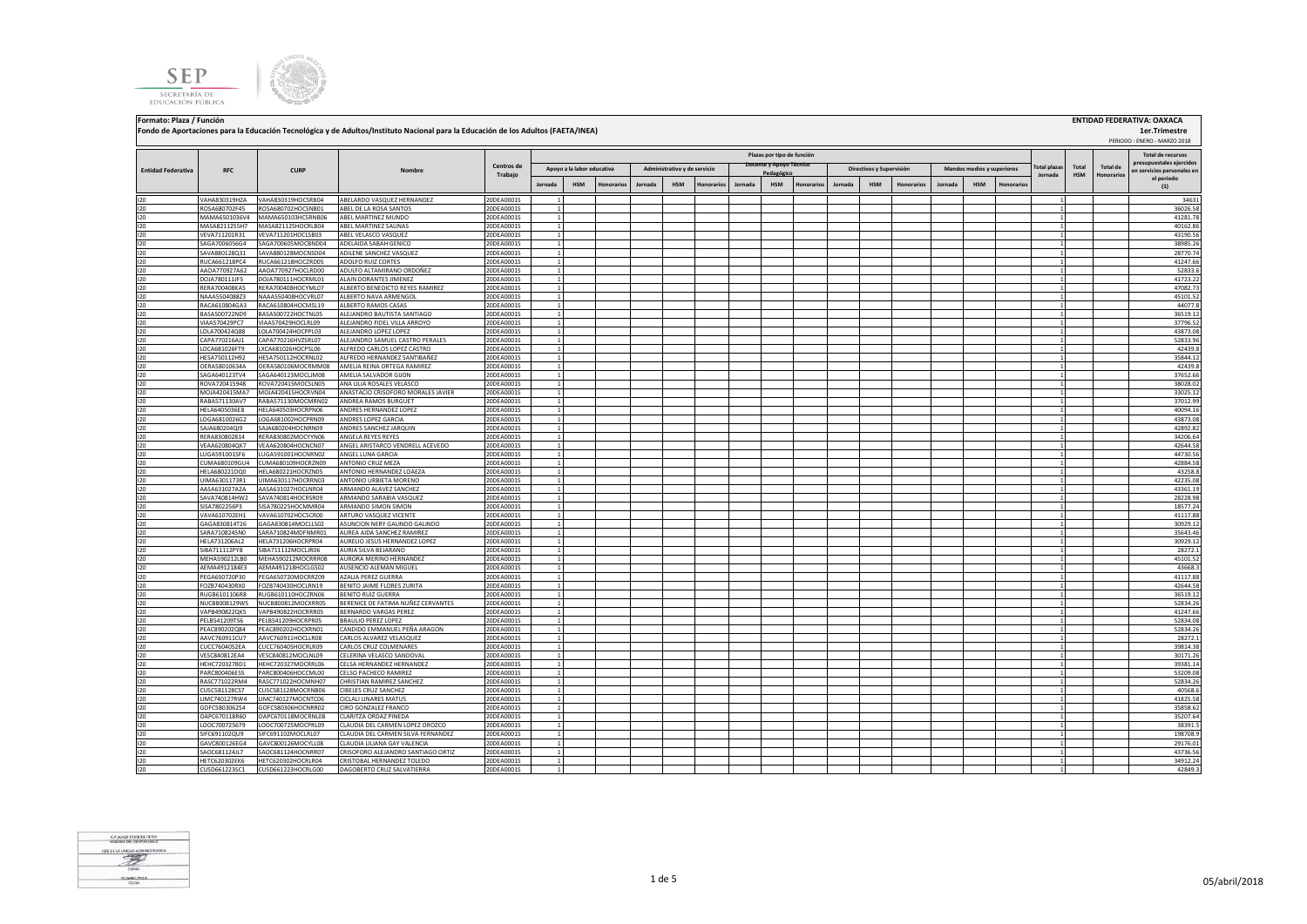**SEP** SECRETARÍA DE EDUCACIÓN PÚBLICA



**Fondo de Aportaciones para la Educación Tecnológica y de Adultos/Instituto Nacional para la Educación de los Adultos (FAETA/INEA)**

**Jornada HSM Honorarios Jornada HSM Honorarios Jornada HSM Honorarios Jornada HSM Honorarios Jornada HSM Honorarios** I20 VAHA830319HZA VAHA830319HOCSRB04 ABELARDO VASQUEZ HERNANDEZ 20DEA0001S 1 1 34631 I20 ROSA680702F45 ROSA680702HOCSNB01 ABEL DE LA ROSA SANTOS 20DEA0001S 1 1 36026.58 I20 MAMA6501036V4 MAMA650103HCSRNB06 ABEL MARTINEZ MUNDO 20DEA0001S 1 1 41281.78 I20 MASA8211255H7 MASA821125HOCRLB04 ABEL MARTINEZ SALINAS 20DEA0001S 1 1 40162.86 I20 VEVA711201R31 VEVA711201HOCLSB03 ABEL VELASCO VASQUEZ 20DEA0001S 1 1 43190.56 I20 SAGA7006056G4 SAGA700605MOCBND04 ADELAIDA SABAH GENICO 20DEA0001S 1 20DEA0001S 1 20DEA0001S 20DEA0001S 20D I20 SAVA880128Q31 SAVA880128MOCNSD04 ADILENE SANCHEZ VASQUEZ 2000-0001S 1 2 20070.74 20070.74 20070.74 2012 201 I20 RUCA661218PC4 RUCA661218HOCZRD05 ADOLFO.RUIZ.CORTES 20DEA0001S 1 20DEA0001S 1 20DEA0001S 20DEA0001S 20DEA I20 AAOA770927A62 |AAOA770927HOCLRD00 ADULFO.ALTAMIRANO.ORDONEZ 20DEA0001S 1 | | | | | | | | | | | | | | | | | I20 DOJA780111JF5 DOJA780111HOCRML01 ALAIN DORANTES JIMENEZ 20DEA0001S 1 1 41723.22 I20 RERA700408KA5 RERA700408HOCYML07 ALBERTO BENEDICTO REYES RAMIREZ 20DEA0001S 1 1 47082.73 I20 NAAA5504088Z3 NAAA550408HOCVRL07 ALBERTO NAVA ARMENGOL 20DEA0001S 1 1 45101.52 I20 RACA610804GA3 RACA610804HOCMSL19 ALBERTO RAMOS CASAS 20DEA0001S 1 1 44077.8 I20 BASA500722ND9 BASA500722HOCTNL05 ALEJANDRO BAUTISTA SANTIAGO 20DEA0001S 1 1 36519.12 I20 VIAA570429PC7 VIAA570429HOCLRL09 ALEJANDRO FIDEL VILLA ARROYO 20DEA0001S 1 1 37796.52 I20 LOLA700424Q88 LOLA700424HOCPPL03 ALEJANDRO LOPEZ LOPEZ 20DEA0001S 1 1 43873.08 I20 CAPA770216AJ1 CAPA770216HVZSRL07 ALEJANDRO SAMUEL CASTRO PERALES 20DEA0001S 1 1 52833.96 I20 LOCA681026FT9 LXCA681026HOCPSL06 ALFREDO CARLOS LOPEZ CASTRO 20DEA0001S 1 1 42439.8 I20 HESA750112H92 HESA750112HOCRNL02 ALFREDO HERNANDEZ SANTIBAÑEZ 20DEA0001S 1 1 35844.12 I20 OERA58010634A OERA580106MOCRMM08 AMELIA REINA ORTEGA RAMIREZ 20DEA0001S 1 1 42439.8 I20 SAGA640123TV4 SAGA640123MOCLJM08 AMELIA SALVADOR GIJON 20DEA0001S 1 1 37652.66 I20 ROVA720415948 ROVA720415MOCSLN05 ANA LILIA ROSALES VELASCO 20DEA0001S 1 1 38028.02 I20 MOJA420415MA7 MOJA420415HOCRVN04 ANASTACIO CRISOFORO MORALES JAVIER 20DEA0001S 1 1 33025.12 I20 RABA571130AV7 RABA571130MOCMRN02 ANDREA RAMOS BURGUET 20DEA0001S 1 1 37012.99 I20 HELA6405036E8 HELA640503HOCRPN06 ANDRES HERNANDEZ LOPEZ 20DEA0001S 1 1 40094.16 I20 LOGA6810026G2 LOGA681002HOCPRN09 ANDRES LOPEZ GARCIA 20DEA0001S 1 1 43873.08 I20 SAJA680204QI9 SAJA680204HOCNRN09 ANDRES SANCHEZ JARQUIN 20DEA0001S 1 1 42892.82 I20 RERA830802814 RERA830802MOCYYN06 ANGELA REYES REYES 20DEA0001S 1 1 34206.64 I20 VEAA620804QK7 VEAA620804HOCNCN07 ANGEL ARISTARCO VENDRELL ACEVEDO 20DEA0001S 1 1 42644.58 I20 LUGA5910015F6 LUGA591001HOCNRN02 ANGEL LUNA GARCIA 20DEA0001S 1 1 44730.56 I20 CUMA680109GU4 CUMA680109HOCRZN09 ANTONIO CRUZ MEZA 20DEA0001S 1 1 42884.58 I20 HELA680221DQ0 HELA680221HOCRZN05 ANTONIO HERNANDEZ LOAEZA 20DEA0001S 1 1 43258.8 I20 UIMA6301173R1 UIMA630117HOCRRN03 ANTONIO URBIETA MORENO 20DEA0001S 1 1 42235.08 I20 AASA631027A2A AASA631027HOCLNR04 ARMANDO ALAVEZ SANCHEZ 20DEA0001S 1 1 43361.19 I20 SAVA740814HW2 SAVA740814HOCRSR09 ARMANDO SARABIA VASQUEZ 20DEA0001S 1 1 28228.98 I20 SISA7802256P3 SISA780225HOCMMR04 ARMANDO SIMON SIMON 20DEA0001S 1 1 18577.24 I20 VAVA610702EH1 VAVA610702HOCSCR00 ARTURO VASQUEZ VICENTE 20DEA0001S 1 1 41117.88 I20 GAGA830814T26 GAGA830814MOCLLS02 ASUNCION NERY GALINDO GALINDO 20DEA0001S 1 1 30929.12 I20 SARA7108245N0 SARA710824MDFNMR01 AUREA AIDA SANCHEZ RAMIREZ 20DEA0001S 1 1 35643.46 I20 HELA731206AL2 HELA731206HOCRPR04 AURELIO\_JESUS\_HERNANDEZ\_LOPEZ 20DEA0001S 1 20DEA0001S 200 200 200 30929.12 I20 SIBA711112PY8 SIBA711112MOCLJR06 AURIASILVABEJARANO 20DEA0001S 1 20DEA0001S 1 20DEA0001S 201 201 201 201 2 I20 MEHA590212LB0 |MEHA590212LB0 |MEHA590212MOCRRR08 |AURORA MERINANDEZ 20DEA0001S | 1 | | | | | | | | | | | | I20 AEMA4912184E3 AEMA491218HOCLGS02 AUSENCIO ALEMAN MIGUEL 20DEA0001S 1 1 43668.3 I20 PEGA650720P30 PEGA650720MOCRRZ09 AZALIA PEREZ GUERRA 20DEA0001S 1 1 41117.88 I20 FOZB740430RX0 FOZB740430HOCLRN19 BENITO JAIME FLORES ZURITA 20DEA0001S 1 1 42644.58 I20 RUGB6101106R8 RUGB610110HOCZRN06 BENITO RUIZ GUERRA 20DEA0001S 1 1 36519.12 NUCB8008129WS NUCB800812MOCXRR05 BERENICE DE FATIMA NUÑEZ CERVANTES 20DEA0001S 1<br>VAPR4918270KS VAPR491822MOCXRR05 BERENICE DE FATIMA NUÑEZ CERVANTES 20DEA0001S 1 1 1 4287.66 I20 VAPB490822QK5 VAPB490822HOCRRR05 BERNARDO VARGAS PEREZ 20DEA0001S 1 1 41247.66 I20 PELB541209TS6 PELB541209HOCRPR05 BRAULIO PEREZ LOPEZ 20DEA 20DEA0001S | 1 | | | | | | | | | | | | | | | | 52834.08 I20 PEAC890202Q84 PEAC890202HOCXRN01 CANDIDO\_EMMANUEL PEÑA ARAGON 20DEA0001S 1 1 5 52834.26 I20 AAVC760911CU7 AAVC760911HOCLLR08 CARLOS ALVAREZ VELASQUEZ 20DEA0001S 1 1 28272.1 I20 CUCC7604052EA CUCC760405HOCRLR09 CARLOS CRUZ COLMENARES 20DEA0001S 1 1 39814.38 I20 VESC840812EA4 VESC840812MOCLNL09 CELERINA VELASCO SANDOVAL 20DEA0001S 1 1 30171.26 I20 HEHC720327BD1 |HEHC720327MOCRRL06 |CELSA HERNANDEZ | 20DEA0001S | 1 | | | | | | | | | | | | | | | | 39381.14 I20 PARC800406ES5 PARC800406HOCCML00 |CELSO PACHECO RAMIREZ 20DEA0001S | 1 | | | | | | | | | | | | | | | | 53209.08 I20 RASC771022RM4 RASC771022HOCMNH07 CHRISTIAN RAMIREZ SANCHEZ 20DEA0001S 1 1 52834.26 **Entidad Federativa RFC CURP Nombre Centros de Trabajo Plazas por tipo de función Apoyo a la labor educativa Administrativo y de servicio Pedagógicos y Supervisión Contra Mandos medios y superiores Total plazas Jornada Total HSM Total de Honorarios Total de recursos prestales ejercidos en servicios personales en el periodo (1)**



I20 CUSC581128CS7 CUSC581128MOCRNB06 CIBELES CRUZ SANCHEZ 20DEA0001S 1 1 40568.6 I20 LIMC740127RW4 LIMC740127MOCNTC06 CICLALI LINARES MATUS 20DEA0001S | 1 | | | | | | | | | | | | | | | | 41825.58 I20 GOFC5803062S4 GOFC580306HOCNRR02 CIRO GONZALEZ FRANCO 20DEA0001S | 1 | | | | | | | | | | | | | | | | 35858.62 I20 OAPC670118R60 |OAPC670118MOCRNL08 |CLARITZA ORDAZ PINEDA 20DEA0001S | 1 | | | | | | | | | | | | | | | | 35207.64 I20 LOOC700725679 LOOC700725MOCPRL09 CLAUDIA DEL CARMEN LOPEZ OROZCO 20DEA0001S 1 1 38391.5 I20 SIFC691102QU9 SIFC691102MOCLRL07 CLAUDIA DEL CARMEN SILVA FERNANDEZ 20DEA0001S 1 1 198708.9 I20 GAVC800126EG4 GAVC800126MOCYLL08 CLAUDIA LILIANA GAY VALENCIA 20DEA0001S 1 1 1 1 1 1 1 1 1 1 29176.01 29176.01 I20 SAOC681124JL7 SAOC681124HOCNRR07 CRISOFORO ALEJANDRO SANTIAGO ORTIZ 20DEA0001S 1 1 43736.56 I20 HETC620302EK6 HETC620302HOCRLR04 CRISTOBAL HERNANDEZ TOLEDO 20DEA0001S 1 1 34912.24 I20 CUSD661223SC1 CUSD661223HOCRLG00 DAGOBERTO CRUZ SALVATIERRA 20DEA0001S 1 1 42849.3

**Formato: Plaza / Función ENTIDAD FEDERATIVA: OAXACA**

 PERIODO : ENERO - MARZO 2018  **1er.Trimestre**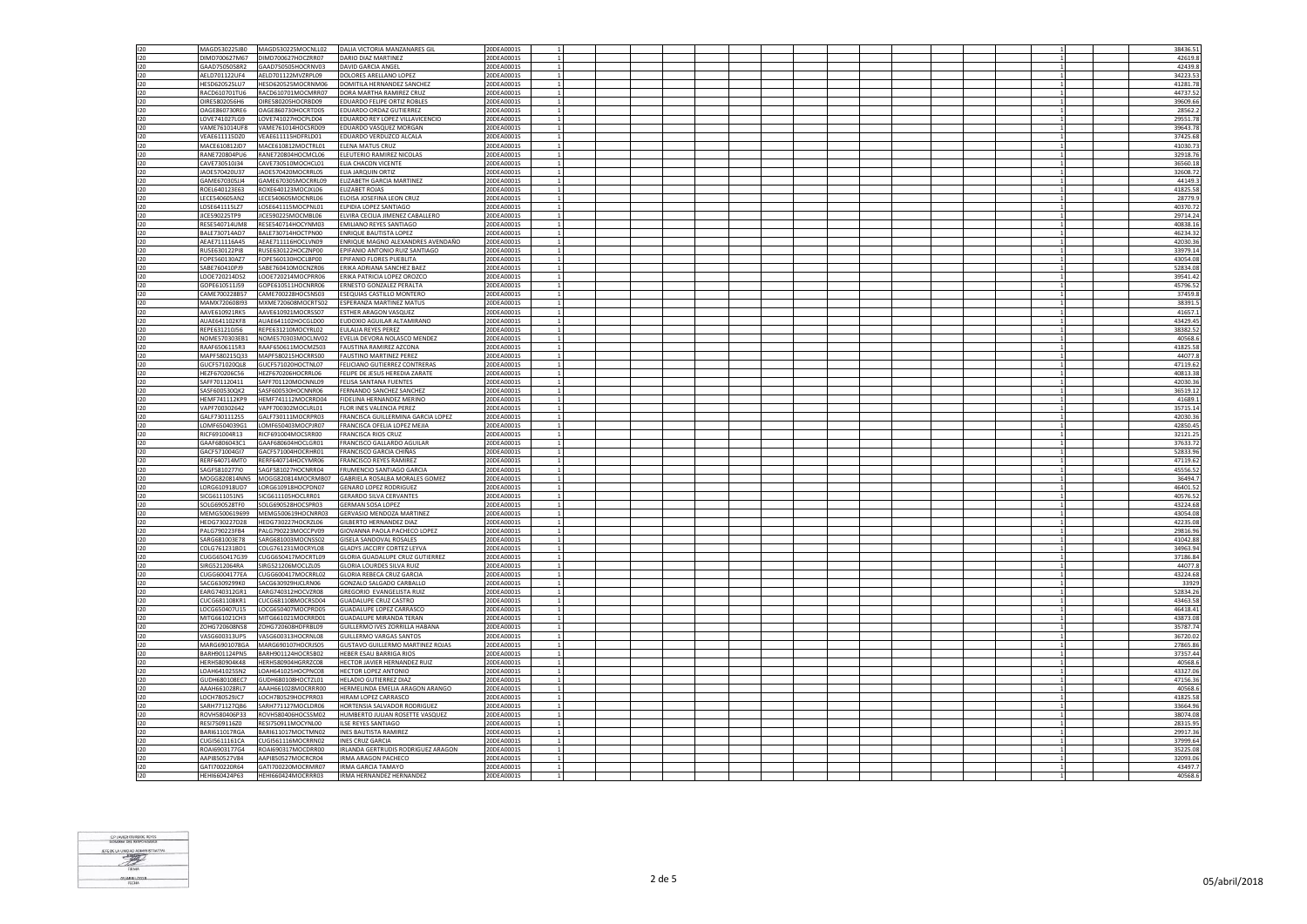| 120        | MAGD530225JB0                  | MAGD530225MOCNLL02                       | DALIA VICTORIA MANZANARES GIL                  | 20DEA0001S               |  |  |  |  |  |  |  | 38436.51          |
|------------|--------------------------------|------------------------------------------|------------------------------------------------|--------------------------|--|--|--|--|--|--|--|-------------------|
|            |                                |                                          |                                                |                          |  |  |  |  |  |  |  |                   |
| 120        | DIMD700627M67                  | DIMD700627HOCZRR07                       | DARIO DIAZ MARTINEZ                            | 20DEA0001S               |  |  |  |  |  |  |  | 42619.8           |
| 120        | GAAD7505058R2                  | GAAD750505HOCRNV03                       | DAVID GARCIA ANGEL                             | 20DEA0001S               |  |  |  |  |  |  |  | 42439.8           |
| 120        | AELD701122UF4                  | AELD701122MVZRPL09                       | DOLORES ARELLANO LOPE                          | 20DEA0001S               |  |  |  |  |  |  |  | 34223.5           |
|            |                                |                                          |                                                |                          |  |  |  |  |  |  |  |                   |
| 120        | HESD620525LU7                  | HESD620525MOCRNM06                       | DOMITILA HERNANDEZ SANCHEZ                     | 20DEA0001S               |  |  |  |  |  |  |  | 41281.78          |
| 120        | RACD610701TU6                  | RACD610701MOCMRR07                       | DORA MARTHA RAMIREZ CRUZ                       | 20DEA0001S               |  |  |  |  |  |  |  | 44737.52          |
| 120        | OIRE5802056H6                  | OIRE580205HOCRBD09                       | <b>EDUARDO FELIPE ORTIZ ROBLES</b>             | 20DEA0001S               |  |  |  |  |  |  |  | 39609.66          |
|            |                                |                                          |                                                |                          |  |  |  |  |  |  |  |                   |
| 120        | OAGE860730RE6                  | OAGE860730HOCRTD05                       | EDUARDO ORDAZ GUTIERREZ                        | 20DEA0001S               |  |  |  |  |  |  |  | 28562.            |
| 120        | LOVE741027LG9                  | LOVE741027HOCPLD04                       | EDUARDO REY LOPEZ VILLAVICENCIO                | 20DEA0001S               |  |  |  |  |  |  |  | 29551.78          |
| 120        | VAME761014UF8                  | VAME761014HOCSRD09                       | EDUARDO VASQUEZ MORGAN                         | 20DEA0001S               |  |  |  |  |  |  |  | 39643.78          |
|            |                                |                                          |                                                |                          |  |  |  |  |  |  |  |                   |
| 120        | VEAE611115DZ0                  | VEAE611115HDFRLD01                       | EDUARDO VERDUZCO ALCALA                        | 20DEA0001S               |  |  |  |  |  |  |  | 37425.68          |
| 120        | MACF610812ID7                  | MACF610812MOCTRL01                       | <b>IFNA MATUS CRUZ</b>                         | 20DEA0001S               |  |  |  |  |  |  |  | 41030.7           |
| 120        | RANE720804PU6                  | RANE720804HOCMCL06                       | ELEUTERIO RAMIREZ NICOLAS                      | 20DEA0001S               |  |  |  |  |  |  |  | 32918.7           |
|            |                                |                                          |                                                |                          |  |  |  |  |  |  |  |                   |
| 120        | CAVE730510J34                  | CAVE730510MOCHCL01                       | ELIA CHACON VICENTE                            | 20DEA0001S               |  |  |  |  |  |  |  | 36560.18          |
| 120        | JAOE570420U37                  | JAOE570420MOCRRL05                       | ELIA JARQUIN ORTIZ                             | 20DEA0001S               |  |  |  |  |  |  |  | 32608.72          |
| 120        | GAME670305JJ4                  | GAME670305MOCRRL09                       | ELIZABETH GARCIA MARTINEZ                      | 20DEA0001S               |  |  |  |  |  |  |  | 44149.            |
|            |                                |                                          |                                                |                          |  |  |  |  |  |  |  |                   |
| 120        | ROEL640123E63                  | ROXE640123MOCJXL06                       | ELIZABET ROJAS                                 | 20DEA0001S               |  |  |  |  |  |  |  | 41825.58          |
| 120        | LECE540605AN2                  | LECE540605MOCNRL06                       | ELOISA JOSEFINA LEON CRUZ                      | 20DEA0001S               |  |  |  |  |  |  |  | 28779.9           |
| 120        | LOSE641115LZ7                  | LOSE641115MOCPNL01                       | ELPIDIA LOPEZ SANTIAGO                         | 20DEA0001S               |  |  |  |  |  |  |  | 40370.7           |
|            |                                |                                          |                                                |                          |  |  |  |  |  |  |  |                   |
| 120        | JICE590225TP9                  | JICE590225MOCMBL06                       | ELVIRA CECILIA JIMENEZ CABALLERO               | 20DEA0001S               |  |  |  |  |  |  |  | 29714.24          |
| 120        | RESE540714UM8                  | RESE540714HOCYNM03                       | <b>EMILIANO REYES SANTIAGO</b>                 | 20DEA0001S               |  |  |  |  |  |  |  | 40838.1           |
| 120        | BALE730714AD7                  | BALE730714HOCTPN00                       | ENRIQUE BAUTISTA LOPEZ                         | 20DEA0001S               |  |  |  |  |  |  |  | 46234.32          |
|            |                                |                                          |                                                |                          |  |  |  |  |  |  |  |                   |
| 120        | AFAF711116A45                  | AFAF711116HOCLVN09                       | ENRIQUE MAGNO ALEXANDRES AVENDAÑO              | 20DEA0001S               |  |  |  |  |  |  |  | 42030.36          |
| 120        | RUSE630122PI8                  | RUSE630122HOCZNP00                       | EPIFANIO ANTONIO RUIZ SANTIAGO                 | 20DEA0001S               |  |  |  |  |  |  |  | 33979.1           |
| 120        | EOPE560130A77                  | EOPE560130HOCLBP00                       | <b>FPIFANIO FLORES PLIEBLITA</b>               | 20DEA0001S               |  |  |  |  |  |  |  | 43054.08          |
|            |                                |                                          |                                                |                          |  |  |  |  |  |  |  |                   |
| 120        | SABE760410PJ9                  | SABE760410MOCNZR06                       | ERIKA ADRIANA SANCHEZ BAEZ                     | 20DEA0001S               |  |  |  |  |  |  |  | 52834.0           |
| 120        | LOOE720214DS2                  | LOOE720214MOCPRR06                       | ERIKA PATRICIA LOPEZ OROZCO                    | 20DEA0001S               |  |  |  |  |  |  |  | 39541.4           |
| 120        | GOPE610511J59                  | GOPE610511HOCNRR06                       | ERNESTO GONZALEZ PERALTA                       | 20DEA0001S               |  |  |  |  |  |  |  | 45796.52          |
|            |                                |                                          |                                                |                          |  |  |  |  |  |  |  |                   |
| 120        | CAME700228B57                  | CAME700228HOCSNS03                       | ESEQUIAS CASTILLO MONTERO                      | 20DEA0001S               |  |  |  |  |  |  |  | 37459.8           |
| 120        | MAMX720608I93                  | MXME720608MOCRTS02                       | SPERANZA MARTINEZ MATUS                        | 20DEA0001S               |  |  |  |  |  |  |  | 38391.            |
| 120        | AAVE610921RK5                  | AAVE610921MOCRSS07                       | ESTHER ARAGON VASQUEZ                          | 20DEA0001S               |  |  |  |  |  |  |  | 41657.            |
|            |                                |                                          |                                                |                          |  |  |  |  |  |  |  |                   |
| 120        | AUAE641102KF8                  | AUAE641102HOCGLD00                       | EUDOXIO AGUILAR ALTAMIRANO                     | 20DEA0001S               |  |  |  |  |  |  |  | 43429.4           |
| 120        | REPE631210J56                  | REPE631210MOCYRL02                       | EULALIA REYES PEREZ                            | 20DEA0001S               |  |  |  |  |  |  |  | 38382.52          |
|            | NOME570303FB1                  |                                          |                                                |                          |  |  |  |  |  |  |  | 40568.6           |
| 120        |                                | NOME570303MOCLNV02                       | EVELIA DEVORA NOLASCO MENDEZ                   | 20DEA0001S               |  |  |  |  |  |  |  |                   |
| 120        | RAAF6506115R3                  | RAAF650611MOCMZS03                       | <b>FAUSTINA RAMIREZ AZCONA</b>                 | 20DEA0001S               |  |  |  |  |  |  |  | 41825.58          |
| 120        | MAPF580215Q33                  | MAPF580215HOCRRS00                       | <b>FAUSTINO MARTINEZ PEREZ</b>                 | 20DEA0001S               |  |  |  |  |  |  |  | 44077.            |
| 120        | GUCF571020QL8                  | GUCF571020HOCTNL07                       | FELICIANO GUTIERREZ CONTRERAS                  | 20DEA0001S               |  |  |  |  |  |  |  | 47119.62          |
|            |                                |                                          |                                                |                          |  |  |  |  |  |  |  |                   |
| 120        | HEZF670206C56                  | HEZF670206HOCRRL06                       | FELIPE DE JESUS HEREDIA ZARATE                 | 20DEA0001S               |  |  |  |  |  |  |  | 40813.38          |
| 120        | SAFF701120411                  | SAFF701120MOCNNL09                       | FELISA SANTANA FUENTES                         | 20DEA0001S               |  |  |  |  |  |  |  | 42030.3           |
|            |                                |                                          |                                                |                          |  |  |  |  |  |  |  |                   |
| 120        | SASF600530QK2                  | SASF600530HOCNNR06                       | FERNANDO SANCHEZ SANCHEZ                       | 20DEA0001S               |  |  |  |  |  |  |  | 36519.1           |
| 120        | <b>HFMF741112KP9</b>           | HEME741112MOCRRD04                       | FIDELINA HERNANDEZ MERINO                      | 20DEA0001S               |  |  |  |  |  |  |  | 41689.            |
| 120        | VAPF700302642                  | VAPF700302MOCLRL01                       | FLOR INES VALENCIA PEREZ                       | 20DEA0001S               |  |  |  |  |  |  |  | 35715.14          |
| 120        |                                |                                          | FRANCISCA GUILLERMINA GARCIA LOPEZ             |                          |  |  |  |  |  |  |  |                   |
|            | GALF7301112S5                  | GALF730111MOCRPR03                       |                                                | 20DEA0001S               |  |  |  |  |  |  |  | 42030.36          |
| 120        | OMF6504039G1                   | LOMF650403MOCPJR07                       |                                                |                          |  |  |  |  |  |  |  |                   |
|            |                                |                                          |                                                |                          |  |  |  |  |  |  |  |                   |
|            |                                |                                          | RANCISCA OFELIA LOPEZ MEJIA                    | 20DEA0001S               |  |  |  |  |  |  |  | 42850.49          |
| 120        | RICF691004R13                  | RICF691004MOCSRR00                       | FRANCISCA RIOS CRUZ                            | 20DEA0001S               |  |  |  |  |  |  |  | 32121.2           |
| 120        | GAAF6806043C1                  | GAAF680604HOCLGR01                       | FRANCISCO GALLARDO AGUILAR                     | 20DEA0001S               |  |  |  |  |  |  |  | 37633.7           |
| 120        | GACF571004GI7                  | GACF571004HOCRHR01                       | FRANCISCO GARCIA CHIÑAS                        | 20DEA0001S               |  |  |  |  |  |  |  | 52833.96          |
|            |                                |                                          |                                                |                          |  |  |  |  |  |  |  |                   |
| 120        | RERF640714MT0                  | RERF640714HOCYMR06                       | RANCISCO REYES RAMIREZ                         | 20DEA0001S               |  |  |  |  |  |  |  | 47119.62          |
| 120        | SAGF581027710                  | SAGF581027HOCNRR04                       | FRUMENCIO SANTIAGO GARCIA                      | 20DEA0001S               |  |  |  |  |  |  |  | 45556.5           |
| 120        | MOGG820814NN5                  | MOGG820814MOCRMB07                       | GABRIELA ROSALBA MORALES GOMEZ                 | 20DEA0001S               |  |  |  |  |  |  |  | 36494             |
|            |                                |                                          |                                                |                          |  |  |  |  |  |  |  |                   |
| 120        | LORG610918UD7                  | LORG610918HOCPDN07                       | <b>GENARO LOPEZ RODRIGUEZ</b>                  | 20DEA0001S               |  |  |  |  |  |  |  | 46401.52          |
| 120        | SICG6111051N5                  | SICG611105HOCLRR01                       | <b>GERARDO SILVA CERVANTES</b>                 | 20DEA0001S               |  |  |  |  |  |  |  | 40576.5           |
| 120        | SOLG690528TF0                  | SOLG690528HOCSPR03                       | GERMAN SOSA LOPEZ                              | 20DEA0001S               |  |  |  |  |  |  |  | 43224.68          |
|            |                                |                                          |                                                |                          |  |  |  |  |  |  |  |                   |
| 120        | MEMG500619699                  | MEMG500619HOCNRR03                       | GERVASIO MENDOZA MARTINEZ                      | 20DEA0001S               |  |  |  |  |  |  |  | 43054.0           |
| 120        | HEDG730227D28                  | HEDG730227HOCRZL06                       | <b>GILBERTO HERNANDEZ DIAZ</b>                 | 20DEA0001S               |  |  |  |  |  |  |  | 42235.08          |
|            | PALG790223FB4                  | PALG790223MOCCPV09                       | GIOVANNA PAOLA PACHECO LOPEZ                   |                          |  |  |  |  |  |  |  | 29816.96          |
| 120        |                                |                                          |                                                | 20DEA0001S               |  |  |  |  |  |  |  |                   |
| 120        | SARG681003E78                  | SARG681003MOCNSS02                       | GISELA SANDOVAL ROSALES                        | 20DEA0001S               |  |  |  |  |  |  |  | 41042.8           |
| 120        | COLG761231BD1                  | COLG761231MOCRYL08                       | <b>GLADYS JACCIRY CORTEZ LEYVA</b>             | 20DEA0001S               |  |  |  |  |  |  |  | 34963.9           |
| 120        | CUGG650417G39                  | CUGG650417MOCRTL09                       | <b>GLORIA GUADALUPE CRUZ GUTIERREZ</b>         | 20DEA0001S               |  |  |  |  |  |  |  | 37186.8           |
|            |                                |                                          |                                                |                          |  |  |  |  |  |  |  |                   |
| 120        | SIRG5212064RA                  | SIRG521206MOCLZL05                       | <b>GLORIA LOURDES SILVA RUIZ</b>               | 20DEA0001S               |  |  |  |  |  |  |  | 44077.            |
| 120        | CUGG6004177EA                  | CUGG600417MOCRRL02                       | <b>GLORIA REBECA CRUZ GARCIA</b>               | 20DEA0001S               |  |  |  |  |  |  |  | 43224.68          |
| 120        | SACG6309299K0                  | SACG630929HJCLRN06                       | GONZALO SALGADO CARBALLO                       | 20DEA0001S               |  |  |  |  |  |  |  | 33929             |
|            |                                |                                          |                                                |                          |  |  |  |  |  |  |  |                   |
| 120        | EARG740312GR1                  | EARG740312HOCVZR08                       | <b>GREGORIO EVANGELISTA RUIZ</b>               | 20DEA0001S               |  |  |  |  |  |  |  | 52834.26          |
| 120        | CUCG681108KR1                  | CUCG681108MOCRSD04                       | <b>GUADALUPE CRUZ CASTRO</b>                   | 20DEA0001S               |  |  |  |  |  |  |  | 43463.58          |
| 120        | LOCG650407U15                  | LOCG650407MOCPRD05                       | GUADALUPE LOPEZ CARRASCO                       | 20DEA0001S               |  |  |  |  |  |  |  | 46418.41          |
|            | MITG661021CH3                  | MITG661021MOCRRD01                       | <b>GUADALUPE MIRANDA TERAN</b>                 | 20DEA0001S               |  |  |  |  |  |  |  | 43873.08          |
| 120        |                                |                                          |                                                |                          |  |  |  |  |  |  |  |                   |
| 120        | ZOHG720608NS8                  | ZOHG720608HDFRBL09                       | GUILLERMO IVES ZORRILLA HABANA                 | 20DEA0001S               |  |  |  |  |  |  |  | 35787.7           |
| 120        | VASG600313UP5                  | VASG600313HOCRNL08                       | GUILLERMO VARGAS SANTOS                        | 20DEA0001S               |  |  |  |  |  |  |  | 36720.02          |
|            |                                |                                          |                                                |                          |  |  |  |  |  |  |  |                   |
| 120        | MARG6901078GA                  | MARG690107HOCRJS05                       | GUSTAVO GUILLERMO MARTINEZ ROJAS               | 20DEA0001S               |  |  |  |  |  |  |  | 27865.86          |
| 120        | BARH901124PN5                  | BARH901124HOCRSB02                       | HEBER ESAU BARRIGA RIOS                        | 20DEA0001S               |  |  |  |  |  |  |  | 37357.44          |
| 120        | HERH580904K48                  | HERH580904HGRRZC08                       | HECTOR JAVIER HERNANDEZ RUIZ                   | 20DEA0001S               |  |  |  |  |  |  |  | 40568.            |
|            |                                |                                          |                                                |                          |  |  |  |  |  |  |  |                   |
| 120        | LOAH641025SN2                  | LOAH641025HOCPNC08                       | HECTOR LOPEZ ANTONIO                           | 20DEA0001S               |  |  |  |  |  |  |  | 43327.06          |
| 120        | GUDH680108EC7                  | GUDH680108HOCTZL01                       | HELADIO GUTIERREZ DIAZ                         | 20DEA0001S               |  |  |  |  |  |  |  | 47156.36          |
| 120        | AAAH661028RL7                  | AAAH661028MOCRRR00                       | HERMELINDA EMELIA ARAGON ARANGO                | 20DEA0001S               |  |  |  |  |  |  |  | 40568.6           |
|            |                                |                                          |                                                |                          |  |  |  |  |  |  |  |                   |
| 120        | LOCH780529JC7                  | LOCH780529HOCPRR03                       | HIRAM LOPEZ CARRASCO                           | 20DEA0001S               |  |  |  |  |  |  |  | 41825.58          |
| 120        | SARH771127QB6                  | SARH771127MOCLDR06                       | HORTENSIA SALVADOR RODRIGUEZ                   | 20DEA0001S               |  |  |  |  |  |  |  | 33664.96          |
| 120        | ROVH580406P33                  | ROVH580406HOCSSM02                       | HUMBERTO JULIAN ROSETTE VASQUEZ                | 20DEA0001S               |  |  |  |  |  |  |  | 38074.0           |
|            |                                |                                          |                                                |                          |  |  |  |  |  |  |  |                   |
| 120        | RESI7509116Z0                  | RESI750911MOCYNL00                       | <b>ILSE REYES SANTIAGO</b>                     | 20DEA0001S               |  |  |  |  |  |  |  | 28315.95          |
| 120        | BARI611017RGA                  | BARI611017MOCTMN02                       | <b>INES BAUTISTA RAMIREZ</b>                   | 20DEA0001S               |  |  |  |  |  |  |  | 29917.36          |
| 120        | CUGI5611161CA                  | CUGI561116MOCRRN02                       | <b>INES CRUZ GARCIA</b>                        | 20DEA0001S               |  |  |  |  |  |  |  | 37999.6           |
|            | ROAI6903177G4                  |                                          |                                                |                          |  |  |  |  |  |  |  |                   |
| 120        |                                | ROAI690317MOCDRR00                       | IRLANDA GERTRUDIS RODRIGUEZ ARAGON             | 20DEA0001S               |  |  |  |  |  |  |  | 35225.08          |
| 120        | AAPI850527V84                  | AAPI850527MOCRCR04                       | IRMA ARAGON PACHECO                            | 20DEA0001S               |  |  |  |  |  |  |  | 32093.0           |
| 120<br>120 | GAT1700220R64<br>HFHI660424P63 | GATI700220MOCRMR07<br>HEHI660424MOCRRR03 | IRMA GARCIA TAMAYO<br>IRMA HERNANDEZ HERNANDEZ | 20DEA0001S<br>20DEA0001S |  |  |  |  |  |  |  | 43497.<br>40568.6 |

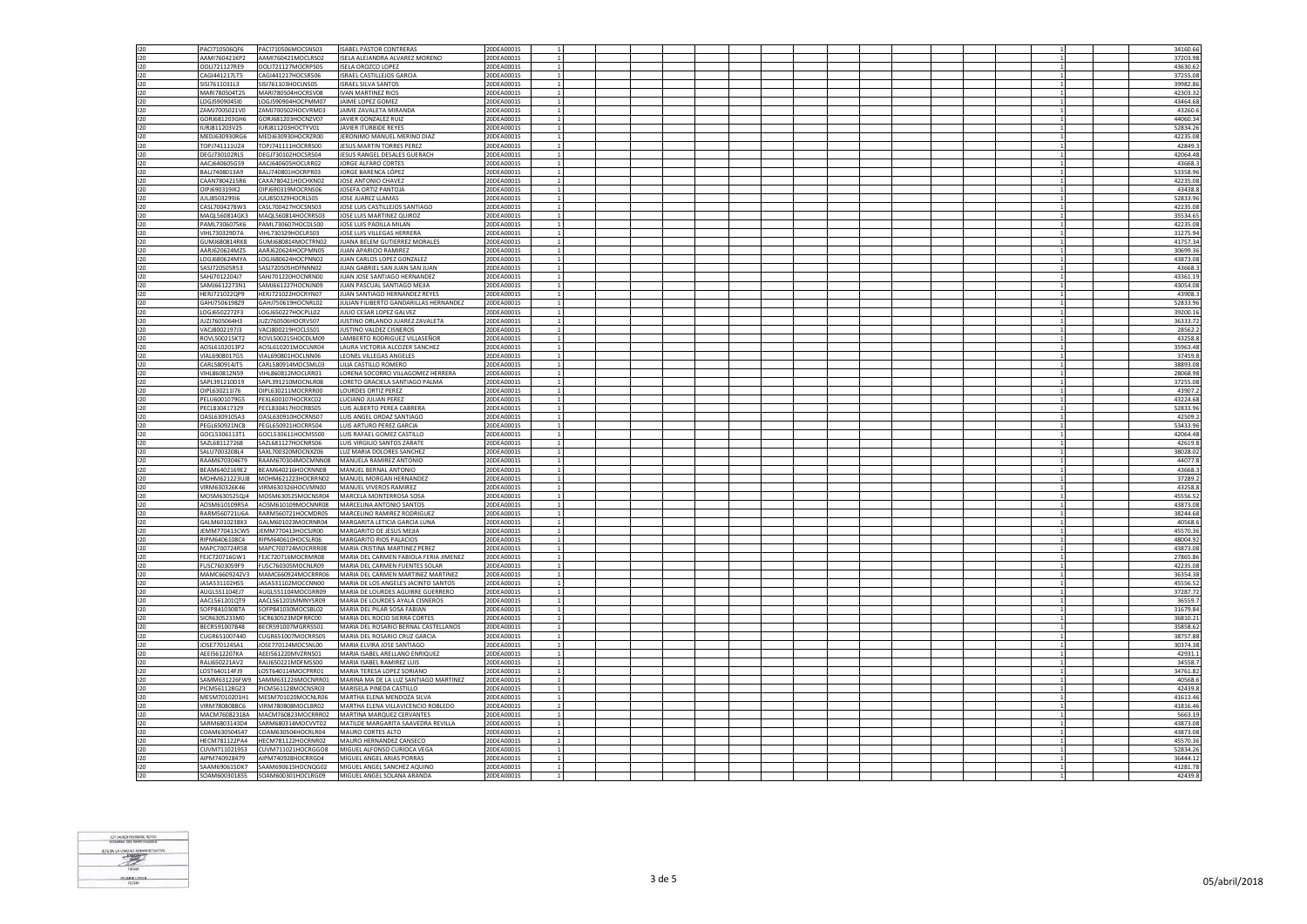| 120        | PAC1710506OF6                  | PACI710506MOCSNS03                       | <b>ISAREL PASTOR CONTRERAS</b>                            | 20DEA0001S               |  |  |  |  |  |  |                | 34160.66            |
|------------|--------------------------------|------------------------------------------|-----------------------------------------------------------|--------------------------|--|--|--|--|--|--|----------------|---------------------|
| 120        | AAMI760421KP2                  | AAMI760421MOCLRS02                       | ISELA ALEJANDRA ALVAREZ MORENO                            | 20DEA0001S               |  |  |  |  |  |  |                | 37203.98            |
|            |                                |                                          |                                                           |                          |  |  |  |  |  |  |                |                     |
| 120        | OOL1721127RF9                  | 0011721127MOCRPS05                       | ISELA OROZCO LOPEZ                                        | 20DEA0001S               |  |  |  |  |  |  | $\overline{1}$ | 43630.62            |
| 120        | CAG1441217LT5                  | CAGI441217HOCSRS06                       | ISRAEL CASTILLEJOS GARCIA                                 | 20DEA0001S               |  |  |  |  |  |  |                | 37255.08            |
|            |                                |                                          |                                                           |                          |  |  |  |  |  |  |                |                     |
| 120        | SISI7611031L3                  | SISI761103HOCLNS05                       | <b>ISRAEL SILVA SANTOS</b>                                | 20DEA0001S               |  |  |  |  |  |  | $\overline{1}$ | 39982.8             |
| 120        | MARI780504T25                  | MARI780504HOCRSV08                       | <b>IVAN MARTINEZ RIOS</b>                                 | 20DEA0001S               |  |  |  |  |  |  |                | 42303.32            |
|            |                                |                                          |                                                           |                          |  |  |  |  |  |  |                |                     |
| 120        | LOGJ5909045I0                  | LOGJ590904HOCPMM07                       | JAIME LOPEZ GOMEZ                                         | 20DEA0001S               |  |  |  |  |  |  |                | 43464.68            |
| 120        | ZAMJ7005021V0                  | ZAMJ700502HOCVRM03                       | JAIME ZAVALETA MIRANDA                                    | 20DEA0001S               |  |  |  |  |  |  |                | 43260.6             |
| 120        | GORJ681203GH6                  |                                          |                                                           |                          |  |  |  |  |  |  |                |                     |
|            |                                | GORJ681203HOCNZV07                       | JAVIER GONZALEZ RUIZ                                      | 20DEA0001S               |  |  |  |  |  |  |                | 44060.34            |
| 120        | IURJ811203V25                  | IURJ811203HOCTYV01                       | JAVIER ITURBIDE REYES                                     | 20DEA0001S               |  |  |  |  |  |  | $\mathbf{1}$   | 52834.26            |
| 120        | MEDJ630930RG6                  | MEDJ630930HOCRZR00                       | JERONIMO MANUEL MERINO DIAZ                               | 20DEA0001S               |  |  |  |  |  |  |                | 42235.08            |
|            |                                |                                          |                                                           |                          |  |  |  |  |  |  |                |                     |
| 120        | TOPJ741111UZ4                  | TOPJ741111HOCRRS00                       | JESUS MARTIN TORRES PEREZ                                 | 20DEA0001S               |  |  |  |  |  |  |                | 42849.3             |
| 120        | DEGJ730102RL5                  | DEGJ730102HOCSRS04                       | JESUS RANGEL DESALES GUERACH                              | 20DEA0001S               |  |  |  |  |  |  |                | 42064.48            |
|            |                                |                                          |                                                           |                          |  |  |  |  |  |  |                |                     |
| 120        | AACJ640605G59                  | AACJ640605HOCLRR02                       | JORGE ALFARO CORTES                                       | 20DEA0001S               |  |  |  |  |  |  |                | 43668.              |
| 120        | BALJ7408013A9                  | BALJ740801HOCRPR03                       | JORGE BARENCA LÓPEZ                                       | 20DEA0001S               |  |  |  |  |  |  |                | 53358.96            |
|            |                                |                                          |                                                           |                          |  |  |  |  |  |  |                |                     |
| 120        | CAAN7804215R6                  | CAXA780421HOCHXN02                       | JOSE ANTONIO CHAVEZ                                       | 20DEA0001S               |  |  |  |  |  |  |                | 42235.0             |
| 120        | OIPJ690319IK2                  | OIPJ690319MOCRNS06                       | JOSEFA ORTIZ PANTOJA                                      | 20DEA0001S               |  |  |  |  |  |  |                | 43438.              |
|            |                                |                                          |                                                           |                          |  |  |  |  |  |  |                |                     |
| 120        | JULJ8503299J6                  | JULJ850329HOCRLS05                       | JOSE JUAREZ LLAMAS                                        | 20DEA0001S               |  |  |  |  |  |  |                | 52833.96            |
| 120        | CASL7004278W3                  | CASL700427HOCSNS03                       | JOSE LUIS CASTILLEJOS SANTIAGO                            | 20DEA0001S               |  |  |  |  |  |  |                | 42235.08            |
|            |                                |                                          |                                                           |                          |  |  |  |  |  |  |                |                     |
| 120        | MAQL560814GK3                  | MAQL560814HOCRRS03                       | JOSE LUIS MARTINEZ QUIROZ                                 | 20DEA0001S               |  |  |  |  |  |  |                | 35534.65            |
| 120        | PAML7306075K6                  | PAML730607HOCDLS00                       | JOSE LUIS PADILLA MILAN                                   | 20DEA0001S               |  |  |  |  |  |  |                | 42235.08            |
|            | VIHL730329D7A                  |                                          | JOSE LUIS VILLEGAS HERRERA                                | 20DEA0001S               |  |  |  |  |  |  |                |                     |
| 120        |                                | VIHL730329HOCLRS03                       |                                                           |                          |  |  |  |  |  |  |                | 31275.94            |
| 120        | GUMJ680814RK8                  | GUMJ680814MOCTRN02                       | JUANA BELEM GUTIERREZ MORALES                             | 20DEA0001S               |  |  |  |  |  |  |                | 41757.34            |
| 120        | AARJ620624MZ5                  | AARJ620624HOCPMN05                       | JUAN APARICIO RAMIREZ                                     | 20DEA0001S               |  |  |  |  |  |  |                | 30699.36            |
|            |                                |                                          |                                                           |                          |  |  |  |  |  |  |                |                     |
| 120        | LOGJ680624MYA                  | LOGJ680624HOCPNN02                       | JUAN CARLOS LOPEZ GONZALEZ                                | 20DEA0001S               |  |  |  |  |  |  | $\mathbf{1}$   | 43873.08            |
| 120        | SASJ720505R53                  | SASJ720505HDFNNN02                       | JUAN GABRIEL SAN JUAN SAN JUAN                            | 20DEA0001S               |  |  |  |  |  |  |                | 43668.3             |
|            |                                |                                          |                                                           |                          |  |  |  |  |  |  |                |                     |
| 120        | SAHJ7012204J7                  | SAHJ701220HOCNRN00                       | JUAN JOSE SANTIAGO HERNANDEZ                              | 20DEA0001S               |  |  |  |  |  |  |                | 43361.19            |
| 120        | SAM16612273N1                  | SAM1661227HOCNIN09                       | IUAN PASCUAL SANTIAGO MEIIA                               | 20DEA0001S               |  |  |  |  |  |  | $\overline{1}$ | 43054.08            |
|            |                                |                                          |                                                           |                          |  |  |  |  |  |  |                |                     |
| 120        | HERJ721022OP9                  | HERJ721022HOCRYN07                       | JUAN SANTIAGO HERNANDEZ REYES                             | 20DEA0001S               |  |  |  |  |  |  |                | 43908.3             |
| 120        | GAHJ7506198Z9                  | GAHJ750619HOCNRL02                       | JULIAN FILIBERTO GANDARILLAS HERNANDEZ                    | 20DEA0001S               |  |  |  |  |  |  | $\overline{1}$ | 52833.96            |
|            |                                |                                          |                                                           |                          |  |  |  |  |  |  |                |                     |
| 120        | LOGJ6502272F3                  | LOGJ650227HOCPLL02                       | JULIO CESAR LOPEZ GALVEZ                                  | 20DEA0001S               |  |  |  |  |  |  |                | 39200.16            |
| 120        | JUZJ7605064H3                  | JUZJ760506HOCRVS07                       | JUSTINO ORLANDO JUAREZ ZAVALETA                           | 20DEA0001S               |  |  |  |  |  |  |                | 36333.72            |
|            |                                |                                          |                                                           |                          |  |  |  |  |  |  |                |                     |
| 120        | VACJ8002197J3                  | VACJ800219HOCLSS01                       | JUSTINO VALDEZ CISNEROS                                   | 20DEA0001S               |  |  |  |  |  |  |                | 28562.2             |
| 120        | ROVL500215KT2                  | ROVL500215HOCDLM09                       | LAMBERTO RODRIGUEZ VILLASEÑOR                             | 20DEA0001S               |  |  |  |  |  |  |                | 43258.8             |
|            |                                |                                          |                                                           |                          |  |  |  |  |  |  |                |                     |
| 120        | AOSL6102013P2                  | AOSL610201MOCLNR04                       | LAURA VICTORIA ALCOZER SANCHEZ                            | 20DEA0001S               |  |  |  |  |  |  |                | 35963.48            |
| 120        | VIAL6908017G5                  | VIAL690801HOCLNN06                       | LEONEL VILLEGAS ANGELES                                   | 20DEA0001S               |  |  |  |  |  |  |                | 37459.8             |
|            |                                |                                          |                                                           |                          |  |  |  |  |  |  |                |                     |
| 120        | CARL580914JT5                  | CARL580914MOCSML03                       | LILIA CASTILLO ROMERO                                     | 20DEA0001S               |  |  |  |  |  |  |                | 38893.08            |
| 120        | VIHL860812N59                  | VIHL860812MOCLRR01                       | LORENA SOCORRO VILLAGOMEZ HERRERA                         | 20DEA0001S               |  |  |  |  |  |  |                | 28068.98            |
|            |                                |                                          |                                                           |                          |  |  |  |  |  |  |                |                     |
| 120        | SAPL391210D19                  | SAPL391210MOCNLR08                       | LORETO GRACIELA SANTIAGO PALMA                            | 20DEA0001S               |  |  |  |  |  |  |                | 37255.08            |
| 120        | OIPL630211I76                  | OIPL630211MOCRRR00                       | LOURDES ORTIZ PEREZ                                       | 20DEA0001S               |  |  |  |  |  |  |                | 43907.2             |
|            |                                |                                          |                                                           |                          |  |  |  |  |  |  |                |                     |
| 120        | PELU6001079G5                  | PEXL600107HOCRXC02                       | LUCIANO JULIAN PEREZ                                      | 20DEA0001S               |  |  |  |  |  |  | $\overline{1}$ | 43224.68            |
| 120        | PECL830417329                  | PECL830417HOCRBS05                       | LUIS ALBERTO PEREA CABRERA                                | 20DEA0001S               |  |  |  |  |  |  | $\mathbf{1}$   | 52833.96            |
|            |                                |                                          |                                                           |                          |  |  |  |  |  |  |                |                     |
| 120        | OASL630910SA3                  | OASL630910HOCRNS07                       | LUIS ANGEL ORDAZ SANTIAGO                                 | 20DEA0001S               |  |  |  |  |  |  |                | 42509.2             |
| 120        | <b>PEGL650921NC8</b>           | PEGL650921HOCRRS04                       | <b>LUIS ARTURO PEREZ GARCIA</b>                           | 20DEA0001S               |  |  |  |  |  |  | $\overline{1}$ | 53433.96            |
| 120        |                                |                                          |                                                           | 20DEA0001S               |  |  |  |  |  |  |                | 42064.48            |
|            | GOCL5306113T1                  | GOCL530611HOCMSS00                       | LUIS RAFAEL GOMEZ CASTILLO                                |                          |  |  |  |  |  |  |                |                     |
| 120        | SAZL681127268                  | SAZL681127HOCNRS06                       | <b>LUIS VIRGILIO SANTOS ZARATE</b>                        | 20DEA0001S               |  |  |  |  |  |  | $\overline{1}$ | 42619.8             |
|            |                                |                                          |                                                           |                          |  |  |  |  |  |  |                |                     |
| 120        | SALU7003208L4                  | SAXL700320MOCNXZ06                       | LUZ MARIA DOLORES SANCHEZ                                 | 20DEA0001S               |  |  |  |  |  |  |                | 38028.02            |
| 120        | RAAM6703046T9                  | RAAM670304MOCMNN08                       | MANUELA RAMIREZ ANTONIO                                   | 20DEA0001S               |  |  |  |  |  |  |                | 44077.8             |
| 120        | BEAM6402169E2                  | BEAM640216HOCRNN08                       | MANUEL BERNAL ANTONIO                                     | 20DEA0001S               |  |  |  |  |  |  |                | 43668.3             |
|            |                                |                                          |                                                           |                          |  |  |  |  |  |  |                |                     |
| 120        | MOHM621223UJ8                  | MOHM621223HOCRRN02                       | MANUEL MORGAN HERNANDEZ                                   | 20DEA0001S               |  |  |  |  |  |  |                | 37289.2             |
| 120        | VIRM630326K46                  |                                          | MANUEL VIVEROS RAMIREZ                                    | 20DEA0001S               |  |  |  |  |  |  |                | 43258.8             |
|            |                                | VIRM630326HOCVMN00                       |                                                           |                          |  |  |  |  |  |  |                |                     |
| 120        |                                |                                          | MOSM630525QJ4 MOSM630525MOCNSR04 MARCELA MONTERROSA SOSA  | 20DEA0001S               |  |  |  |  |  |  |                | 45556.52            |
| 120        | AOSM610109R5A                  | AOSM610109MOCNNR08                       | MARCELINA ANTONIO SANTOS                                  | 20DEA0001S               |  |  |  |  |  |  |                |                     |
|            |                                |                                          |                                                           |                          |  |  |  |  |  |  |                | 43873.08            |
| 120        | RARM560721U6A                  | RARM560721HOCMDR05                       | MARCELINO RAMIREZ RODRIGUEZ                               | 20DEA0001S               |  |  |  |  |  |  |                | 38244.68            |
| 120        | GALM6010238X3                  | GALM601023MOCRNR04                       | MARGARITA LETICIA GARCIA LUNA                             | 20DEA0001S               |  |  |  |  |  |  |                | 40568.6             |
|            |                                |                                          |                                                           |                          |  |  |  |  |  |  |                |                     |
| 120        | JEMM770413CW5                  | JEMM770413HOCSJR00                       | MARGARITO DE JESUS MEJIA                                  | 20DEA0001S               |  |  |  |  |  |  |                | 45570.36            |
| 120        | RIPM6406108C4                  | RIPM640610HOCSLR06                       | MARGARITO RIOS PALACIOS                                   | 20DEA0001S               |  |  |  |  |  |  |                | 48004.92            |
|            |                                |                                          |                                                           |                          |  |  |  |  |  |  |                |                     |
| 120        | MAPC700724R58                  | MAPC700724MOCRRR08                       | MARIA CRISTINA MARTINEZ PEREZ                             | 20DEA0001S               |  |  |  |  |  |  |                | 43873.08            |
| 120        | FEJC720716GW1                  | FEJC720716MOCRMR08                       | MARIA DEL CARMEN FABIOLA FERIA JIMENEZ                    | 20DEA0001S               |  |  |  |  |  |  |                | 27865.8             |
|            |                                |                                          | MARIA DEL CARMEN FUENTES SOLAR                            |                          |  |  |  |  |  |  | $\mathbf{1}$   | 42235.08            |
| 120        | FUSC7603059F9                  | FUSC760305MOCNLR09                       |                                                           | 20DEA0001S               |  |  |  |  |  |  |                |                     |
| 120        | MAMC6609242V3                  | MAMC660924MOCRRR06                       | MARIA DEL CARMEN MARTINEZ MARTINEZ                        | 20DEA0001S               |  |  |  |  |  |  |                | 36354.38            |
| 120        | JASA531102HS5                  | JASA531102MOCCNN00                       | MARIA DE LOS ANGELES JACINTO SANTOS                       | 20DEA0001S               |  |  |  |  |  |  |                | 45556.5             |
|            |                                |                                          |                                                           |                          |  |  |  |  |  |  |                |                     |
| 120        | AUGL551104EJ7                  | AUGL551104MOCGRR09                       | MARIA DE LOURDES AGUIRRE GUERRERO                         | 20DEA0001S               |  |  |  |  |  |  |                | 37287.72            |
| 120        | AACL561201QT9                  | AACL561201MMNYSR09                       | MARIA DE LOURDES AYALA CISNEROS                           | 20DEA0001S               |  |  |  |  |  |  |                | 36559.              |
|            |                                |                                          |                                                           |                          |  |  |  |  |  |  |                |                     |
| 120        | SOFP841030BTA                  | SOFP841030MOCSBL02                       | MARIA DEL PILAR SOSA FABIAN                               | 20DEA0001S               |  |  |  |  |  |  |                | 31679.84            |
| 120        | SICR6305233M0                  | SICR630523MDFRRC00                       | MARIA DEL ROCIO SIERRA CORTES                             | 20DEA0001S               |  |  |  |  |  |  | $\mathbf{1}$   | 36810.21            |
|            |                                |                                          |                                                           |                          |  |  |  |  |  |  |                |                     |
| 120        | BECR591007B48                  | BECR591007MGRRSS01                       | MARIA DEL ROSARIO BERNAL CASTELLANOS                      | 20DEA0001S               |  |  |  |  |  |  |                | 35858.62            |
| 120        | CUGR651007440                  | CUGR651007MOCRRS05                       | MARIA DEL ROSARIO CRUZ GARCIA                             | 20DEA0001S               |  |  |  |  |  |  |                | 38757.88            |
|            |                                |                                          |                                                           |                          |  |  |  |  |  |  |                |                     |
| 120        | IOSE770124SA1                  | JOSE770124MOCSNL00                       | MARIA FLVIRA IOSE SANTIAGO                                | 20DEA0001S               |  |  |  |  |  |  | $\overline{1}$ | 30374.38            |
| 120        | AEEI5612207KA                  | AEEI561220MVZRNS01                       | MARIA ISABEL ARELLANO ENRIQUEZ                            | 20DEA0001S               |  |  |  |  |  |  |                | 42931.              |
|            |                                |                                          |                                                           |                          |  |  |  |  |  |  |                |                     |
| 120        | RALI650221AV2                  | RALI650221MDFMSS00                       | MARIA ISABEL RAMIREZ LUIS                                 | 20DEA0001S               |  |  |  |  |  |  |                | 34558.7             |
| 120        | LOST640114FJ9                  | LOST640114MOCPRR01                       | MARIA TERESA LOPEZ SORIANO                                | 20DEA0001S               |  |  |  |  |  |  |                | 34761.82            |
|            |                                |                                          |                                                           |                          |  |  |  |  |  |  |                |                     |
| 120        |                                | SAMM631226MOCNRR01                       | MARINA MA DE LA LUZ SANTIAGO MARTINEZ                     | 20DEA0001S               |  |  |  |  |  |  |                | 40568.              |
|            | SAMM631226FW9                  |                                          | MARISELA PINEDA CASTILLO                                  | 20DEA0001S               |  |  |  |  |  |  |                | 42439.8             |
| 120        |                                |                                          |                                                           |                          |  |  |  |  |  |  |                |                     |
|            | PICM561128GZ3                  | PICM561128MOCNSR03                       |                                                           |                          |  |  |  |  |  |  |                |                     |
| 120        | MESM7010201H1                  | MESM701020MOCNLR06                       | MARTHA ELENA MENDOZA SILVA                                | 20DEA0001S               |  |  |  |  |  |  |                | 41613.46            |
| 120        | VIRM780808BC6                  | VIRM780808MOCLBR02                       | MARTHA ELENA VILLAVICENCIO ROBLEDO                        | 20DEA0001S               |  |  |  |  |  |  |                | 41816.46            |
|            |                                |                                          |                                                           |                          |  |  |  |  |  |  |                |                     |
| 120        | MACM76082318A                  | MACM760823MOCRRR02                       | MARTINA MARQUEZ CERVANTES                                 | 20DEA0001S               |  |  |  |  |  |  |                | 5663.19             |
|            |                                |                                          |                                                           |                          |  |  |  |  |  |  |                |                     |
| 120        | SARM6803143D4                  | SARM680314MOCVVT02                       | MATILDE MARGARITA SAAVEDRA REVILLA                        | 20DEA0001S               |  |  |  |  |  |  |                | 43873.08            |
| 120        | COAM630504S47                  | COAM630504HOCRLR04                       | MAURO CORTES ALTO                                         | 20DEA0001S               |  |  |  |  |  |  |                | 43873.08            |
| 120        |                                |                                          |                                                           |                          |  |  |  |  |  |  |                |                     |
|            | HECM781122PA4                  | HECM781122HOCRNR02                       | MAURO HERNANDEZ CANSECO                                   | 20DEA0001S               |  |  |  |  |  |  |                | 45570.36            |
| 120        | CUVM711021953                  | CUVM711021HOCRGGO8                       | MIGUEL ALFONSO CURIOCA VEGA                               | 20DEA0001S               |  |  |  |  |  |  |                | 52834.26            |
| 120        | AIPM740928479                  | AIPM740928HOCRRG04                       | MIGUEL ANGEL ARIAS PORRAS                                 | 20DEA0001S               |  |  |  |  |  |  |                | 36444.12            |
|            |                                |                                          |                                                           |                          |  |  |  |  |  |  |                |                     |
| 120<br>120 | SAAM690615DK7<br>SOAM600301855 | SAAM690615HOCNQG02<br>SOAM600301HOCLBG09 | MIGUEL ANGEL SANCHEZ AQUINO<br>MIGUEL ANGEL SOLANA ARANDA | 20DEA0001S<br>20DEA0001S |  |  |  |  |  |  |                | 41281.78<br>42439.8 |

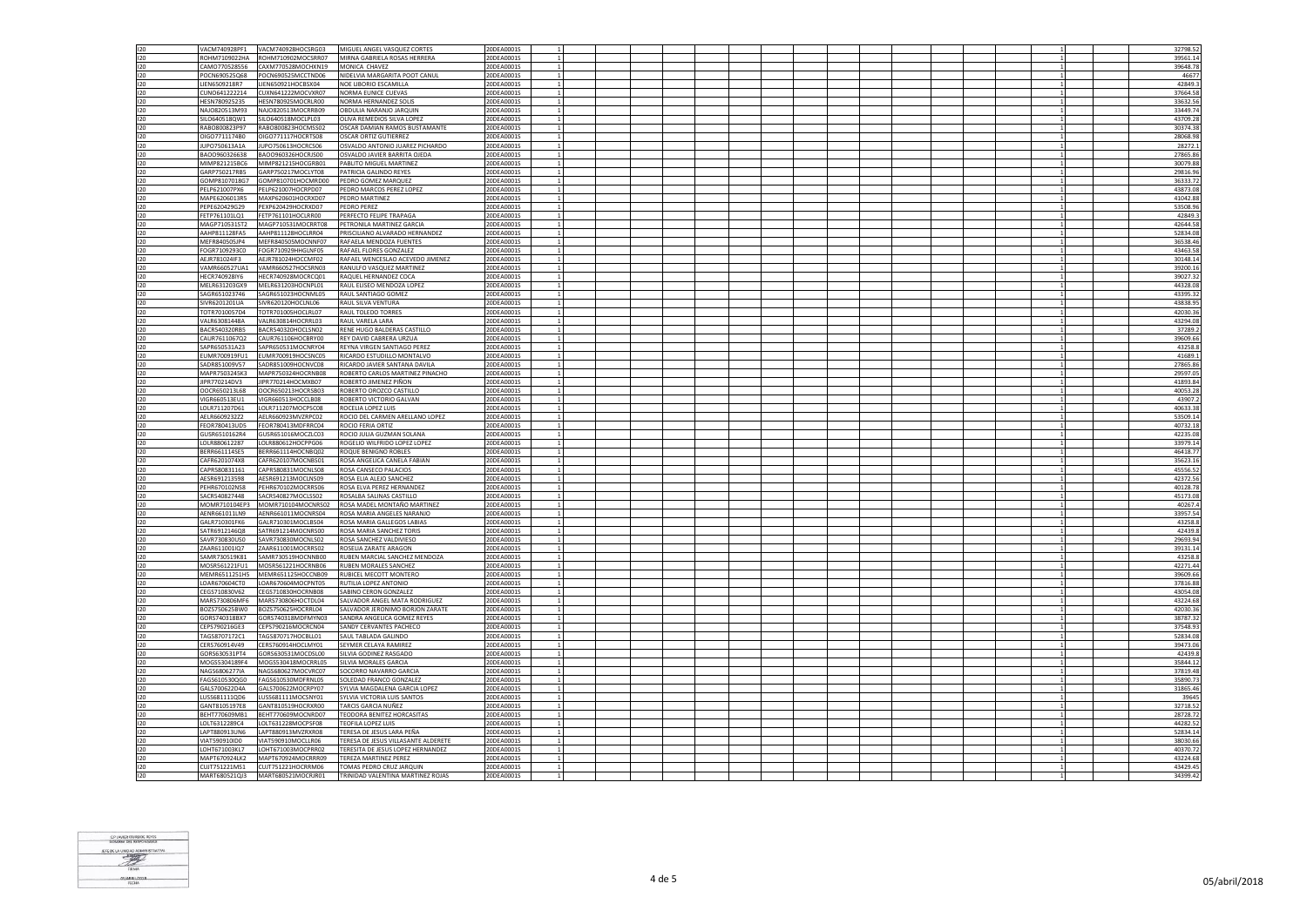| 120 | VACM740928PF1 | VACM740928HOCSRG03 | MIGUEL ANGEL VASQUEZ CORTES        | 20DEA0001S |  |  |  |  |  |                | 32798.52 |
|-----|---------------|--------------------|------------------------------------|------------|--|--|--|--|--|----------------|----------|
| 120 | ROHM7109022HA | ROHM710902MOCSRR07 | MIRNA GABRIELA ROSAS HERRERA       | 20DEA0001S |  |  |  |  |  |                | 39561.14 |
| 120 | CAMO770528556 | CAXM770528MOCHXN19 | MONICA CHAVEZ                      | 20DEA0001S |  |  |  |  |  |                | 39648.78 |
|     |               |                    |                                    |            |  |  |  |  |  |                |          |
| 120 | POCN690525Q68 | POCN690525MCCTND06 | NIDELVIA MARGARITA POOT CANUL      | 20DEA0001S |  |  |  |  |  |                | 46677    |
| 120 | LIEN6509218R7 | LIEN650921HOCBSX04 | NOE LIBORIO ESCAMILLA              | 20DEA0001S |  |  |  |  |  | $\overline{1}$ | 42849.   |
| 120 | CUNO641222214 | CUXN641222MOCVXR07 | NORMA EUNICE CUEVAS                | 20DEA0001S |  |  |  |  |  |                | 37664.58 |
| 120 | HFSN780925235 | HESN780925MOCRLR00 | NORMA HERNANDEZ SOLIS              | 20DEA0001S |  |  |  |  |  | $\mathbf{1}$   | 33632.56 |
| 120 | NAJO820513M93 | NAJ0820513MOCRRB09 | OBDULIA NARANJO JARQUIN            | 20DEA0001S |  |  |  |  |  |                | 33449.74 |
| 120 | SILO640518QW1 | SILO640518MOCLPL03 | OLIVA REMEDIOS SILVA LOPEZ         | 20DEA0001S |  |  |  |  |  | $\overline{1}$ | 43709.2  |
| 120 | RABO800823P97 | RABO800823HOCMSS02 | OSCAR DAMIAN RAMOS BUSTAMANTE      | 20DEA0001S |  |  |  |  |  | 1              | 30374.38 |
| 120 | OIGO7711174B0 | OIGO771117HOCRTS08 | OSCAR ORTIZ GUTIERREZ              | 20DEA0001S |  |  |  |  |  |                | 28068.98 |
|     |               |                    |                                    |            |  |  |  |  |  | <sup>1</sup>   |          |
| 120 | IUPO750613A1A | IUPO750613HOCRCS06 | OSVALDO ANTONIO IUAREZ PICHARDO    | 20DEA0001S |  |  |  |  |  |                | 28272.1  |
| 120 | BAOO960326638 | BAOO960326HOCRJS00 | OSVALDO JAVIER BARRITA OJEDA       | 20DEA0001S |  |  |  |  |  |                | 27865.8  |
| 120 | MIMP821215BC6 | MIMP821215HOCGRB01 | PABLITO MIGUEL MARTINEZ            | 20DEA0001S |  |  |  |  |  |                | 30079.88 |
| 120 | GARP750217RB5 | GARP750217MOCLYT08 | PATRICIA GALINDO REYES             | 20DEA0001S |  |  |  |  |  |                | 29816.96 |
| 120 | GOMP8107018G7 | GOMP810701HOCMRD00 | PEDRO GOMEZ MARQUEZ                | 20DEA0001S |  |  |  |  |  |                | 36333.72 |
|     |               |                    |                                    |            |  |  |  |  |  |                |          |
| 120 | PELP621007PX6 | PELP621007HOCRPD07 | PEDRO MARCOS PEREZ LOPEZ           | 20DEA0001S |  |  |  |  |  |                | 43873.08 |
| 120 | MAPE6206013R5 | MAXP620601HOCRXD07 | PEDRO MARTINEZ                     | 20DEA0001S |  |  |  |  |  |                | 41042.8  |
| 120 | PEPE620429G29 | PEXP620429HOCRXD07 | PEDRO PEREZ                        | 20DEA0001S |  |  |  |  |  |                | 53508.96 |
| 120 | FETP761101LQ1 | FETP761101HOCLRR00 | PERFECTO FELIPE TRAPAGA            | 20DEA0001S |  |  |  |  |  | $\mathbf{1}$   | 42849.3  |
| 120 | MAGP710531ST2 | MAGP710531MOCRRT08 | PETRONILA MARTINEZ GARCIA          | 20DEA0001S |  |  |  |  |  |                | 42644.58 |
| 120 | AAHP811128FA5 | AAHP811128HOCLRR04 | PRISCILIANO ALVARADO HERNANDEZ     | 20DEA0001S |  |  |  |  |  |                | 52834.08 |
| 120 | MFFR840505JP4 | MFFR840505MOCNNF07 | <b>RAFAFLA MENDOZA FUENTES</b>     | 20DEA0001S |  |  |  |  |  | $\overline{1}$ | 36538.46 |
|     | FOGR7109293C0 | FOGR710929HHGLNF05 | RAFAEL FLORES GONZALEZ             | 20DEA0001S |  |  |  |  |  |                | 43463.58 |
| 120 |               |                    |                                    |            |  |  |  |  |  |                |          |
| 120 | AFIR781024IF3 | AFIR781024HOCCME02 | RAFAEL WENCESLAO ACEVEDO JIMENEZ   | 20DEA0001S |  |  |  |  |  | $\mathbf{1}$   | 30148.14 |
| 120 | VAMR660527UA1 | VAMR660527HOCSRN03 | RANULFO VASQUEZ MARTINEZ           | 20DEA0001S |  |  |  |  |  |                | 39200.16 |
| 120 | HECR740928IY6 | HECR740928MOCRCQ01 | RAQUEL HERNANDEZ COCA              | 20DEA0001S |  |  |  |  |  | $\mathbf{1}$   | 39027.3  |
| 120 | MELR631203GX9 | MELR631203HOCNPL01 | RAUL ELISEO MENDOZA LOPEZ          | 20DEA0001S |  |  |  |  |  |                | 44328.08 |
| 120 | SAGR651023746 | SAGR651023HOCNML05 | RAUL SANTIAGO GOMEZ                | 20DEA0001S |  |  |  |  |  | $\mathbf{1}$   | 43395.32 |
| 120 | SIVR6201201UA | SIVR620120HOCLNL06 | RAUL SILVA VENTURA                 | 20DEA0001S |  |  |  |  |  |                | 43838.95 |
|     |               |                    |                                    |            |  |  |  |  |  |                |          |
| 120 | TOTR7010057D4 | TOTR701005HOCLRL07 | RAUL TOLEDO TORRES                 | 20DEA0001S |  |  |  |  |  |                | 42030.36 |
| 120 | VALR63081448A | VALR630814HOCRRL03 | RAUL VARELA LARA                   | 20DEA0001S |  |  |  |  |  |                | 43294.08 |
| 120 | BACR540320RB5 | BACR540320HOCLSN02 | RENE HUGO BALDERAS CASTILLO        | 20DEA0001S |  |  |  |  |  |                | 37289.2  |
| 120 | CAUR7611067Q2 | CAUR761106HOCBRY00 | REY DAVID CABRERA URZUA            | 20DEA0001S |  |  |  |  |  |                | 39609.66 |
| 120 | SAPR650531A23 | SAPR650531MOCNRY04 | REYNA VIRGEN SANTIAGO PEREZ        | 20DEA0001S |  |  |  |  |  |                | 43258.8  |
| 120 | EUMR700919FU1 | EUMR700919HOCSNC05 | RICARDO ESTUDILLO MONTALVO         | 20DEA0001S |  |  |  |  |  |                | 41689.   |
| 120 | SADR851009V57 |                    | RICARDO JAVIER SANTANA DAVILA      | 20DEA0001S |  |  |  |  |  |                | 27865.86 |
|     |               | SADR851009HOCNVC08 |                                    |            |  |  |  |  |  |                |          |
| 120 | MAPR7503245K3 | MAPR750324HOCRNB08 | ROBERTO CARLOS MARTINEZ PINACHO    | 20DEA0001S |  |  |  |  |  |                | 29597.05 |
| 120 | IPR770214DV3  | JIPR770214HOCMXB07 | ROBERTO JIMENEZ PIÑON              | 20DEA0001S |  |  |  |  |  |                | 41893.84 |
| 120 | OOCR650213L68 | OOCR650213HOCRSB03 | ROBERTO OROZCO CASTILLO            | 20DEA0001S |  |  |  |  |  |                | 40053.28 |
| 120 | VIGR660513EU1 | VIGR660513HOCCLB08 | ROBERTO VICTORIO GALVAN            | 20DEA0001S |  |  |  |  |  | $\mathbf{1}$   | 43907.   |
| 120 | LOLR711207D61 | LOLR711207MOCPSC08 | ROCELIA LOPEZ LUIS                 | 20DEA0001S |  |  |  |  |  | $\mathbf{1}$   | 40633.38 |
| 120 | AELR6609232Z2 | AELR660923MVZRPC02 | ROCIO DEL CARMEN ARELLANO LOPEZ    | 20DEA0001S |  |  |  |  |  | $\mathbf{1}$   | 53509.14 |
|     |               |                    |                                    |            |  |  |  |  |  |                |          |
| 120 | EOR780413UD5  | FEOR780413MDFRRC04 | ROCIO FERIA ORTIZ                  | 20DEA0001S |  |  |  |  |  |                | 40732.18 |
| 120 | GUSR6510162R4 | GUSR651016MOCZLC03 | ROCIO JULIA GUZMAN SOLANA          | 20DEA0001S |  |  |  |  |  | $\overline{1}$ | 42235.0  |
| 120 | LOLR880612287 | LOLR880612HOCPPG06 | ROGELIO WILFRIDO LOPEZ LOPEZ       | 20DEA0001S |  |  |  |  |  | $\mathbf{1}$   | 33979.14 |
| 120 | BERR661114SE5 | BERR661114HOCNBQ02 | ROQUE BENIGNO ROBLES               | 20DEA0001S |  |  |  |  |  | $\mathbf{1}$   | 46418.77 |
| 120 | CAFR6201074X8 | CAFR620107MOCNBS01 | ROSA ANGELICA CANELA FABIAN        | 20DEA0001S |  |  |  |  |  |                | 35623.16 |
| 120 | CAPR580831161 | CAPR580831MOCNLS08 | ROSA CANSECO PALACIOS              | 20DEA0001S |  |  |  |  |  |                | 45556.52 |
| 120 | AFSR691213598 | AFSR691213MOCLNS09 | <b>ROSA FLIA ALFIO SANCHEZ</b>     | 20DEA0001S |  |  |  |  |  | $\mathbf{1}$   | 42372.56 |
|     |               |                    |                                    |            |  |  |  |  |  |                |          |
| 120 | PEHR670102NS8 | PEHR670102MOCRRS06 | ROSA ELVA PEREZ HERNANDEZ          | 20DEA0001S |  |  |  |  |  |                | 40128.78 |
| 120 | SACR540827448 | SACR540827MOCLSS02 | ROSALBA SALINAS CASTILLO           | 20DEA0001S |  |  |  |  |  |                | 45173.08 |
| 120 | MOMR710104EP3 | MOMR710104MOCNRS02 | ROSA MADEL MONTAÑO MARTINEZ        | 20DEA0001S |  |  |  |  |  |                | 40267.4  |
| 120 | AENR661011LN9 | AENR661011MOCNRS04 | ROSA MARIA ANGELES NARANJO         | 20DEA0001S |  |  |  |  |  |                | 33957.54 |
| 120 | GALR710301FK6 | GALR710301MOCLBS04 | ROSA MARIA GALLEGOS LABIAS         | 20DEA0001S |  |  |  |  |  |                | 43258.8  |
| 120 | SATR6912146Q8 | SATR691214MOCNRS00 | ROSA MARIA SANCHEZ TORIS           | 20DEA0001S |  |  |  |  |  |                | 42439.8  |
|     |               |                    |                                    |            |  |  |  |  |  |                |          |
| 120 | SAVR730830US0 | SAVR730830MOCNLS02 | ROSA SANCHEZ VALDIVIESO            | 20DEA0001S |  |  |  |  |  |                | 29693.94 |
| 120 | ZAAR611001IO7 | ZAAR611001MOCRRS02 | ROSELIA ZARATE ARAGON              | 20DEA0001S |  |  |  |  |  |                | 39131.14 |
| 120 | SAMR730519K81 | SAMR730519HOCNNB00 | RUBEN MARCIAL SANCHEZ MENDOZA      | 20DEA0001S |  |  |  |  |  |                | 43258.8  |
| 120 | MOSR561221FU1 | MOSR561221HOCRNB06 | RUBEN MORALES SANCHEZ              | 20DEA0001S |  |  |  |  |  |                | 42271.44 |
| 120 | MEMR6511251H5 | MEMR651125HOCCNB09 | RUBICEL MECOTT MONTERO             | 20DEA0001S |  |  |  |  |  |                | 39609.66 |
| 120 | LOAR670604CT0 | LOAR670604MOCPNT05 | RUTILIA LOPEZ ANTONIO              | 20DEA0001S |  |  |  |  |  |                | 37816.88 |
| 120 | CEGS710830V62 | CEGS710830HOCRNB08 | SABINO CERON GONZALEZ              | 20DEA0001S |  |  |  |  |  |                | 43054.0  |
| 120 | MARS730806MF6 | MARS730806HOCTDL04 | SALVADOR ANGEL MATA RODRIGUEZ      | 20DEA0001S |  |  |  |  |  | $\mathbf{1}$   | 43224.68 |
|     |               |                    |                                    |            |  |  |  |  |  |                |          |
| 120 | BOZS750625BW0 | BOZS750625HOCRRL04 | SALVADOR JERONIMO BORJON ZARATE    | 20DEA0001S |  |  |  |  |  | $\mathbf{1}$   | 42030.36 |
| 120 | GORS740318BX7 | GORS740318MDFMYN03 | SANDRA ANGELICA GOMEZ REYES        | 20DEA0001S |  |  |  |  |  |                | 38787.32 |
| 120 | CEPS790216GE3 | CEPS790216MOCRCN04 | SANDY CERVANTES PACHECO            | 20DEA0001S |  |  |  |  |  |                | 37548.93 |
| 120 | TAGS8707172C1 | TAGS870717HOCBLL01 | SAULTABLADA GALINDO                | 20DEA0001S |  |  |  |  |  | $\overline{1}$ | 52834.08 |
| 120 | CERS760914V49 | CERS760914HOCLMY01 | SEYMER CELAYA RAMIREZ              | 20DEA0001S |  |  |  |  |  |                | 39473.06 |
| 120 | GORS630531PT4 | GORS630531MOCDSL00 | SILVIA GODINEZ RASGADO             | 20DEA0001S |  |  |  |  |  |                | 42439.8  |
| 120 | MOGS5304189F4 | MOGS530418MOCRRL05 | SILVIA MORALES GARCIA              | 20DEA0001S |  |  |  |  |  |                | 35844.1  |
|     |               |                    |                                    |            |  |  |  |  |  |                |          |
| 120 | NAGS6806277IA | NAGS680627MOCVRC07 | SOCORRO NAVARRO GARCIA             | 20DEA0001S |  |  |  |  |  |                | 37819.48 |
| 120 | FAGS610530QG0 | FAGS610530MDFRNL05 | SOLEDAD FRANCO GONZALEZ            | 20DEA0001S |  |  |  |  |  |                | 35890.73 |
| 120 | GALS700622D4A | GALS700622MOCRPY07 | SYLVIA MAGDALENA GARCIA LOPEZ      | 20DEA0001S |  |  |  |  |  |                | 31865.46 |
| 120 | LUSS681111QD6 | LUSS681111MOCSNY01 | SYLVIA VICTORIA LUIS SANTOS        | 20DEA0001S |  |  |  |  |  |                | 39645    |
| 120 | GANT8105197E8 | GANT810519HOCRXR00 | TARCIS GARCIA NUÑEZ                | 20DEA0001S |  |  |  |  |  |                | 32718.52 |
| 120 | BEHT770609MB1 | BEHT770609MOCNRD07 | TEODORA BENITEZ HORCASITAS         | 20DEA0001S |  |  |  |  |  |                | 28728.72 |
| 120 | LOLT6312289C4 | LOLT631228MOCPSF08 | <b>TEOFILA LOPEZ LUIS</b>          | 20DEA0001S |  |  |  |  |  |                | 44282.52 |
|     |               |                    |                                    |            |  |  |  |  |  |                |          |
| 120 | LAPT880913UN6 | LAPT880913MVZRXR08 | TERESA DE JESUS LARA PEÑA          | 20DEA0001S |  |  |  |  |  |                | 52834.14 |
| 120 | VIAT590910ID0 | VIAT590910MOCLLR06 | ERESA DE JESUS VILLASANTE ALDERETE | 20DEA0001S |  |  |  |  |  |                | 38030.66 |
| 120 | LOHT671003KL7 | LOHT671003MOCPRR02 | TERESITA DE JESUS LOPEZ HERNANDEZ  | 20DEA0001S |  |  |  |  |  |                | 40370.72 |
| 120 | MAPT670924LK2 | MAPT670924MOCRRR09 | TEREZA MARTINEZ PEREZ              | 20DEA0001S |  |  |  |  |  |                | 43224.68 |
| 120 | CUJT751221MS1 | CUJT751221HOCRRM06 | TOMAS PEDRO CRUZ JARQUIN           | 20DEA0001S |  |  |  |  |  |                | 43429.45 |
| 120 | MART680521O13 | MART680521MOCRIR01 | TRINIDAD VALENTINA MARTINEZ ROIAS  | 20DEA0001S |  |  |  |  |  |                | 34399.42 |